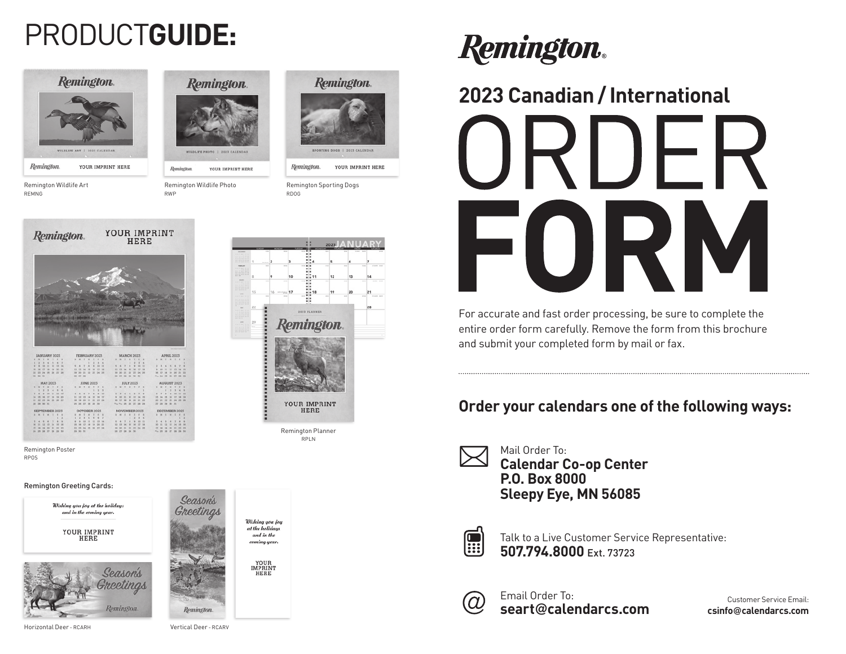## PRODUCT**GUIDE:**



Remington Wildlife Art

REMNG

**Remington** LOLIFE PHOTO | 2023 CALENDAR

Remington YOUR IMPRINT HERE

Remington Wildlife Photo RWP



# YOUR IMPRINT Remington. **HERE**

Remington Poster RPOS

#### Remington Greeting Cards:



Season's Wishing you joy at the holidan and in the comina year YOUR<br>IMPRINT<br>HERE



YOUR IMPRINT HERE

Remington Sporting Dogs RDOG

Remington.



# **Remington.**

### **2023 Canadian / International**



For accurate and fast order processing, be sure to complete the entire order form carefully. Remove the form from this brochure and submit your completed form by mail or fax.

### **Order your calendars one of the following ways:**



Mail Order To: **Calendar Co-op Center P.O. Box 8000 Sleepy Eye, MN 56085**



Talk to a Live Customer Service Representative: **507.794.8000** Ext. 73723



Email Order To: **seart**@**calendarcs.com**

Customer Service Email: **csinfo**@**calendarcs.com**